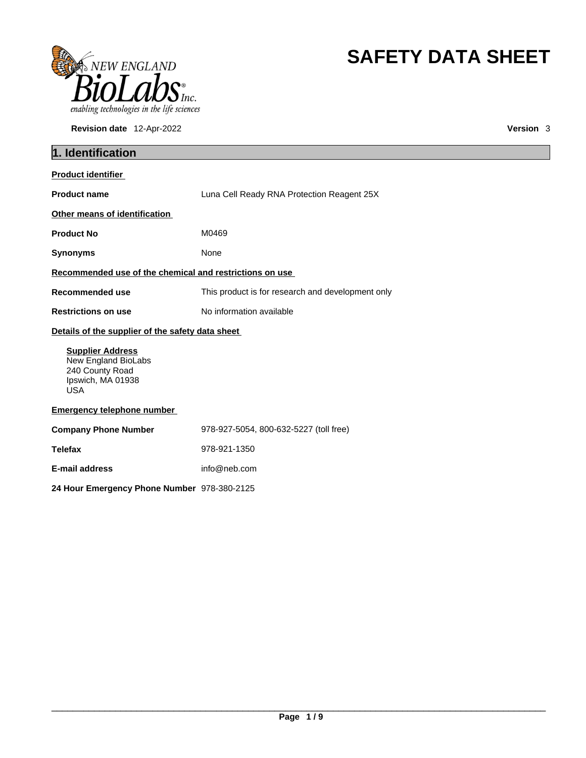

**Revision date** 12-Apr-2022 **Version** 3

# **SAFETY DATA SHEET**

| 1. Identification                                                                                    |                                                   |  |
|------------------------------------------------------------------------------------------------------|---------------------------------------------------|--|
| <b>Product identifier</b>                                                                            |                                                   |  |
| <b>Product name</b>                                                                                  | Luna Cell Ready RNA Protection Reagent 25X        |  |
| Other means of identification                                                                        |                                                   |  |
| <b>Product No</b>                                                                                    | M0469                                             |  |
| <b>Synonyms</b>                                                                                      | None                                              |  |
| Recommended use of the chemical and restrictions on use                                              |                                                   |  |
| <b>Recommended use</b>                                                                               | This product is for research and development only |  |
| <b>Restrictions on use</b>                                                                           | No information available                          |  |
| Details of the supplier of the safety data sheet                                                     |                                                   |  |
| <b>Supplier Address</b><br>New England BioLabs<br>240 County Road<br>Ipswich, MA 01938<br><b>USA</b> |                                                   |  |
| <b>Emergency telephone number</b>                                                                    |                                                   |  |
| <b>Company Phone Number</b>                                                                          | 978-927-5054, 800-632-5227 (toll free)            |  |
| <b>Telefax</b>                                                                                       | 978-921-1350                                      |  |
| <b>E-mail address</b>                                                                                | info@neb.com                                      |  |
| 24 Hour Emergency Phone Number 978-380-2125                                                          |                                                   |  |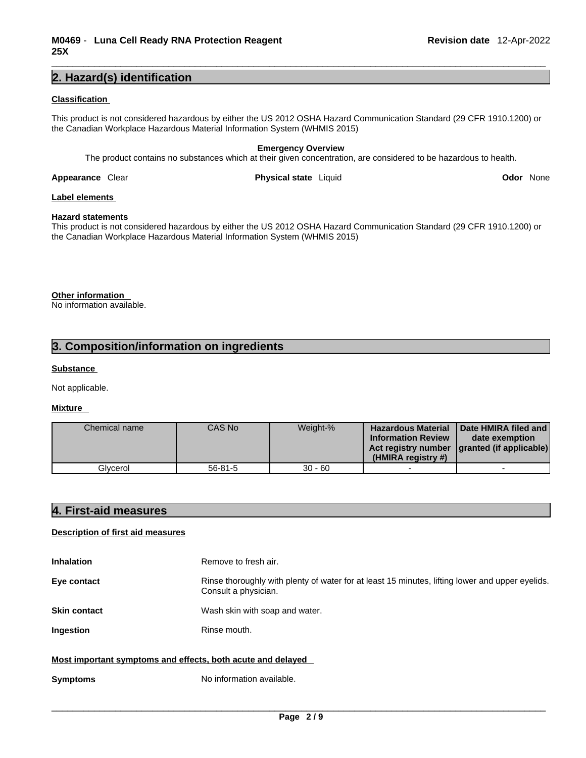### **2. Hazard(s) identification**

#### **Classification**

This product is not considered hazardous by either the US 2012 OSHA Hazard Communication Standard (29 CFR 1910.1200) or the Canadian Workplace Hazardous Material Information System (WHMIS 2015)

#### **Emergency Overview**

The product contains no substances which at their given concentration, are considered to be hazardous to health.

**Appearance Clear <b>Physical state** Liquid

**Odor** None

#### **Label elements**

#### **Hazard statements**

This product is not considered hazardous by either the US 2012 OSHA Hazard Communication Standard (29 CFR 1910.1200) or the Canadian Workplace Hazardous Material Information System (WHMIS 2015)

### **Other information**

No information available.

## **3. Composition/information on ingredients**

#### **Substance**

Not applicable.

#### **Mixture**

| Chemical name | CAS No  | Weight-%  | <b>Hazardous Material</b><br><b>Information Review</b><br>(HMIRA registry #) | Date HMIRA filed and<br>date exemption<br>Act registry number   granted (if applicable) |  |
|---------------|---------|-----------|------------------------------------------------------------------------------|-----------------------------------------------------------------------------------------|--|
| Glvcerol      | 56-81-5 | $30 - 60$ |                                                                              |                                                                                         |  |

### **4. First-aid measures**

#### **Description of first aid measures**

| <b>Inhalation</b>                                           | Remove to fresh air.                                                                                                    |
|-------------------------------------------------------------|-------------------------------------------------------------------------------------------------------------------------|
| Eye contact                                                 | Rinse thoroughly with plenty of water for at least 15 minutes, lifting lower and upper eyelids.<br>Consult a physician. |
| <b>Skin contact</b>                                         | Wash skin with soap and water.                                                                                          |
| Ingestion                                                   | Rinse mouth.                                                                                                            |
| Most important symptoms and effects, both acute and delayed |                                                                                                                         |

**Symptoms** No information available.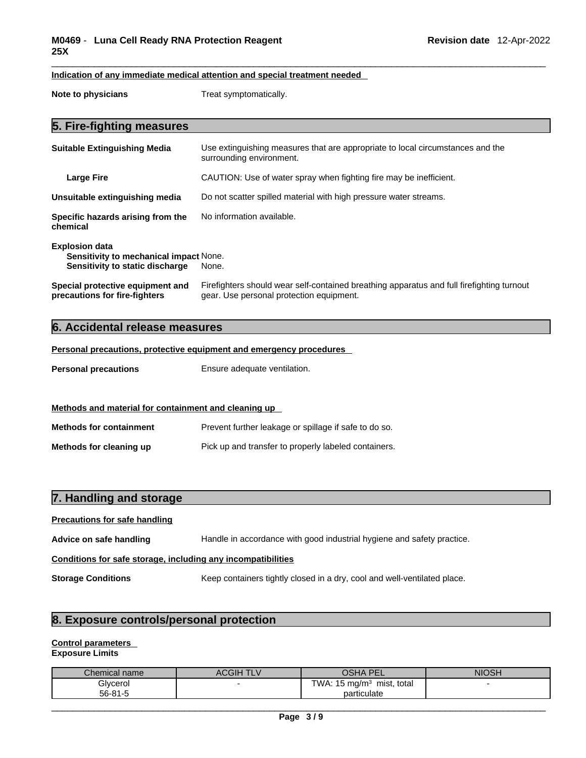#### **Indication of any immediate medical attention and special treatment needed**

**Note to physicians** Treat symptomatically.

## **5. Fire-fighting measures**

| <b>Suitable Extinguishing Media</b>                                                                       | Use extinguishing measures that are appropriate to local circumstances and the<br>surrounding environment.                            |
|-----------------------------------------------------------------------------------------------------------|---------------------------------------------------------------------------------------------------------------------------------------|
| <b>Large Fire</b>                                                                                         | CAUTION: Use of water spray when fighting fire may be inefficient.                                                                    |
| Unsuitable extinguishing media                                                                            | Do not scatter spilled material with high pressure water streams.                                                                     |
| Specific hazards arising from the<br>chemical                                                             | No information available.                                                                                                             |
| <b>Explosion data</b><br><b>Sensitivity to mechanical impact None.</b><br>Sensitivity to static discharge | None.                                                                                                                                 |
| Special protective equipment and<br>precautions for fire-fighters                                         | Firefighters should wear self-contained breathing apparatus and full firefighting turnout<br>gear. Use personal protection equipment. |

## **6. Accidental release measures**

#### **Personal precautions, protective equipment and emergency procedures**

**Personal precautions** Ensure adequate ventilation.

# **Methods and material for containment and cleaning up**

| <b>Methods for containment</b> | Prevent further leakage or spillage if safe to do so. |
|--------------------------------|-------------------------------------------------------|
| Methods for cleaning up        | Pick up and transfer to properly labeled containers.  |

## **7. Handling and storage Precautions for safe handling Advice on safe handling** Handle in accordance with good industrial hygiene and safety practice. **Conditions for safe storage, including any incompatibilities Storage Conditions** Keep containers tightly closed in a dry, cool and well-ventilated place.

## **8. Exposure controls/personal protection**

#### **Control parameters Exposure Limits**

| Chemical name | ACGIH TLV | OSHA F<br><b>PEL</b>                    | <b>NIOSH</b> |
|---------------|-----------|-----------------------------------------|--------------|
| Glvcerol      |           | TWA: $15 \text{ mg/m}^3$<br>mist, total |              |
| 56-81-5       |           | particulate                             |              |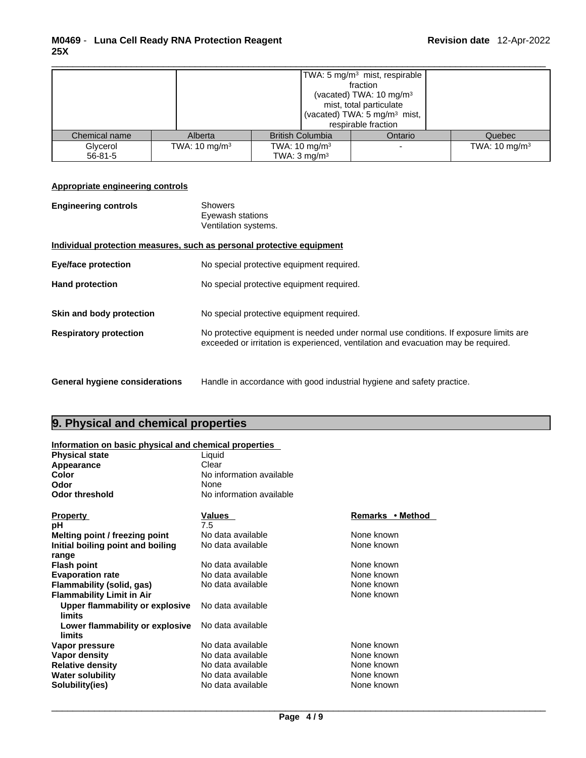|               |                          |                          | TWA: 5 mg/m <sup>3</sup> mist, respirable<br>fraction<br>(vacated) TWA: $10 \text{ mg/m}^3$<br>mist, total particulate<br>(vacated) TWA: 5 mg/m <sup>3</sup> mist,<br>respirable fraction |                          |
|---------------|--------------------------|--------------------------|-------------------------------------------------------------------------------------------------------------------------------------------------------------------------------------------|--------------------------|
| Chemical name | Alberta                  | <b>British Columbia</b>  | Ontario                                                                                                                                                                                   | Quebec                   |
| Glycerol      | TWA: $10 \text{ mg/m}^3$ | TWA: $10 \text{ mg/m}^3$ |                                                                                                                                                                                           | TWA: $10 \text{ mg/m}^3$ |
| $56 - 81 - 5$ |                          | TWA: $3 \text{ mg/m}^3$  |                                                                                                                                                                                           |                          |

#### **Appropriate engineering controls**

| <b>Engineering controls</b> | Showers              |  |
|-----------------------------|----------------------|--|
|                             | Eyewash stations     |  |
|                             | Ventilation systems. |  |

#### **Individual protection measures, such as personal protective equipment**

| <b>Eye/face protection</b>                                | No special protective equipment required.                                                                                          |
|-----------------------------------------------------------|------------------------------------------------------------------------------------------------------------------------------------|
| <b>Hand protection</b>                                    | No special protective equipment required.                                                                                          |
| Skin and body protection<br><b>Respiratory protection</b> | No special protective equipment required.<br>No protective equipment is needed under normal use conditions. If exposure limits are |
|                                                           | exceeded or irritation is experienced, ventilation and evacuation may be required.                                                 |
|                                                           |                                                                                                                                    |

**General hygiene considerations** Handle in accordance with good industrial hygiene and safety practice.

## **9. Physical and chemical properties**

#### **Information on basic physical and chemical properties**

| <b>Physical state</b>             | Liquid                   |                  |  |  |
|-----------------------------------|--------------------------|------------------|--|--|
| Appearance                        | Clear                    |                  |  |  |
| Color                             | No information available |                  |  |  |
| Odor                              | None                     |                  |  |  |
| <b>Odor threshold</b>             | No information available |                  |  |  |
| <b>Property</b>                   | Values                   | Remarks • Method |  |  |
| рH                                | 7.5                      |                  |  |  |
| Melting point / freezing point    | No data available        | None known       |  |  |
| Initial boiling point and boiling | No data available        | None known       |  |  |
| range                             |                          |                  |  |  |
| <b>Flash point</b>                | No data available        | None known       |  |  |
| <b>Evaporation rate</b>           | No data available        | None known       |  |  |
| Flammability (solid, gas)         | No data available        | None known       |  |  |
| <b>Flammability Limit in Air</b>  |                          | None known       |  |  |
| Upper flammability or explosive   | No data available        |                  |  |  |
| limits                            |                          |                  |  |  |
| Lower flammability or explosive   | No data available        |                  |  |  |
| limits                            |                          |                  |  |  |
| Vapor pressure                    | No data available        | None known       |  |  |
| Vapor density                     | No data available        | None known       |  |  |
| <b>Relative density</b>           | No data available        | None known       |  |  |
| <b>Water solubility</b>           | No data available        | None known       |  |  |
| Solubility(ies)                   | No data available        | None known       |  |  |
|                                   |                          |                  |  |  |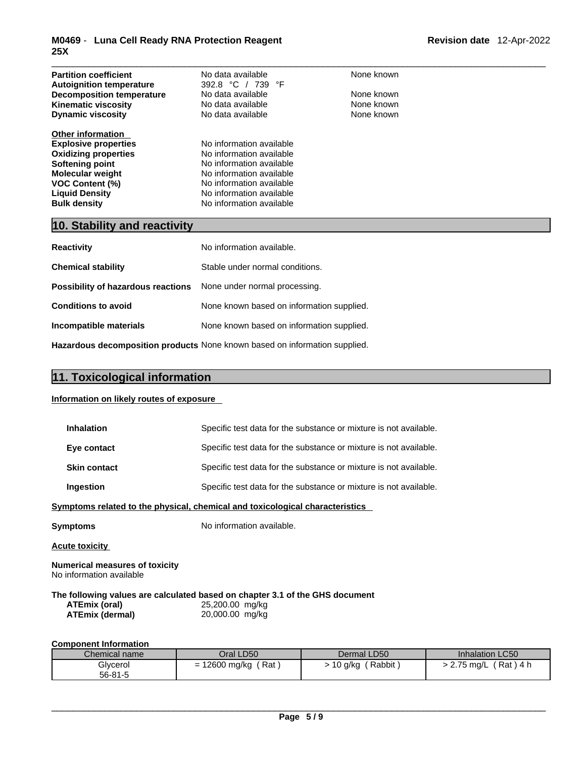| <b>Partition coefficient</b><br><b>Autoignition temperature</b><br><b>Decomposition temperature</b><br><b>Kinematic viscosity</b><br><b>Dynamic viscosity</b>                                                  | No data available<br>392.8 °C / 739 °F<br>No data available<br>No data available<br>No data available                                                                                            | None known<br>None known<br>None known<br>None known |
|----------------------------------------------------------------------------------------------------------------------------------------------------------------------------------------------------------------|--------------------------------------------------------------------------------------------------------------------------------------------------------------------------------------------------|------------------------------------------------------|
| <b>Other information</b><br><b>Explosive properties</b><br><b>Oxidizing properties</b><br>Softening point<br><b>Molecular weight</b><br><b>VOC Content (%)</b><br><b>Liquid Density</b><br><b>Bulk density</b> | No information available<br>No information available<br>No information available<br>No information available<br>No information available<br>No information available<br>No information available |                                                      |
| 10. Stability and reactivity                                                                                                                                                                                   |                                                                                                                                                                                                  |                                                      |
| <b>Reactivity</b>                                                                                                                                                                                              | No information available.                                                                                                                                                                        |                                                      |

| .                                                                       |                                                                            |
|-------------------------------------------------------------------------|----------------------------------------------------------------------------|
| <b>Chemical stability</b>                                               | Stable under normal conditions.                                            |
| <b>Possibility of hazardous reactions</b> None under normal processing. |                                                                            |
| <b>Conditions to avoid</b>                                              | None known based on information supplied.                                  |
| Incompatible materials                                                  | None known based on information supplied.                                  |
|                                                                         | Hazardous decomposition products None known based on information supplied. |

## **11. Toxicological information**

#### **Information on likely routes of exposure**

| <b>Inhalation</b>                                                 | Specific test data for the substance or mixture is not available.            |
|-------------------------------------------------------------------|------------------------------------------------------------------------------|
| Eye contact                                                       | Specific test data for the substance or mixture is not available.            |
| <b>Skin contact</b>                                               | Specific test data for the substance or mixture is not available.            |
| <b>Ingestion</b>                                                  | Specific test data for the substance or mixture is not available.            |
|                                                                   | Symptoms related to the physical, chemical and toxicological characteristics |
| Symptoms                                                          | No information available.                                                    |
| <b>Acute toxicity</b>                                             |                                                                              |
| <b>Numerical measures of toxicity</b><br>No information available |                                                                              |
|                                                                   | The following values are calculated based on chapter 3.1 of the GHS document |

| ATEmix (oral)          | 25,200.00 mg/kg |
|------------------------|-----------------|
| <b>ATEmix (dermal)</b> | 20,000.00 mg/kg |

#### **Component Information**

| Chemical name | Oral LD50                     | Dermal LD50       | <b>Inhalation LC50</b>     |
|---------------|-------------------------------|-------------------|----------------------------|
| Glycerol      | 12600 mg/kg<br>ิ Rat ,<br>$=$ | Rabbit<br>10 g/kg | ´ Rat ) 4 h<br>2.75 ma/L > |
| 56-81-5       |                               |                   |                            |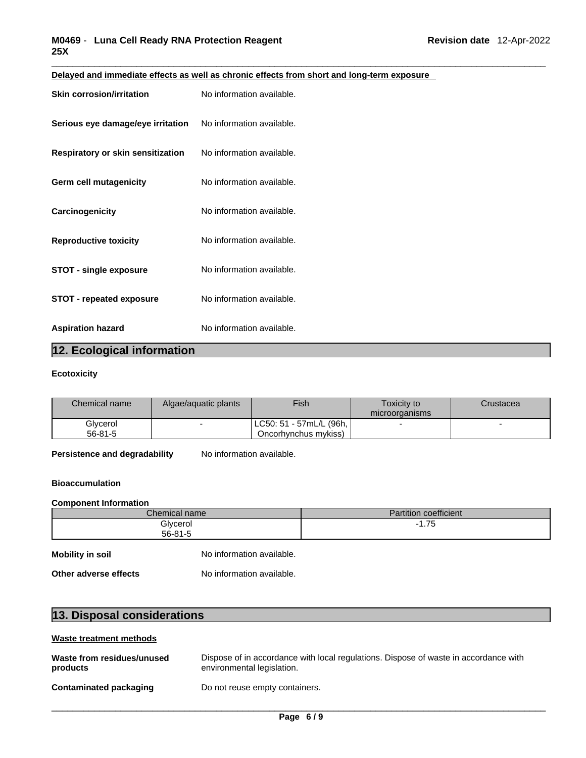| <b>Skin corrosion/irritation</b>  | No information available. |
|-----------------------------------|---------------------------|
| Serious eye damage/eye irritation | No information available. |
| Respiratory or skin sensitization | No information available. |
| Germ cell mutagenicity            | No information available. |
| Carcinogenicity                   | No information available. |
| <b>Reproductive toxicity</b>      | No information available. |
| <b>STOT - single exposure</b>     | No information available. |
| <b>STOT - repeated exposure</b>   | No information available. |
| <b>Aspiration hazard</b>          | No information available. |

**Delayed and immediate effects as well as chronic effects from short and long-term exposure**

## **12. Ecological information**

#### **Ecotoxicity**

| <b>Chemical name</b> | Algae/aguatic plants | Fish                     | Toxicitv to    | Crustacea |
|----------------------|----------------------|--------------------------|----------------|-----------|
|                      |                      |                          | microorganisms |           |
| Glycerol             |                      | 「LC50: 51-57mL/L (96h, 」 |                |           |
| $56 - 81 - 5$        |                      | Oncorhynchus mykiss)     |                |           |

**Persistence and degradability** No information available.

#### **Bioaccumulation**

#### **Component Information**

|                       | Chemical name             | <b>Partition coefficient</b> |
|-----------------------|---------------------------|------------------------------|
|                       | Glycerol<br>$56 - 81 - 5$ | $-1.75$                      |
| Mobility in soil      | No information available. |                              |
| Other adverse effects | No information available. |                              |

| 13. Disposal considerations |
|-----------------------------|
|-----------------------------|

### **Waste treatment methods**

| Waste from residues/unused    | Dispose of in accordance with local regulations. Dispose of waste in accordance with |
|-------------------------------|--------------------------------------------------------------------------------------|
| products                      | environmental legislation.                                                           |
| <b>Contaminated packaging</b> | Do not reuse empty containers.                                                       |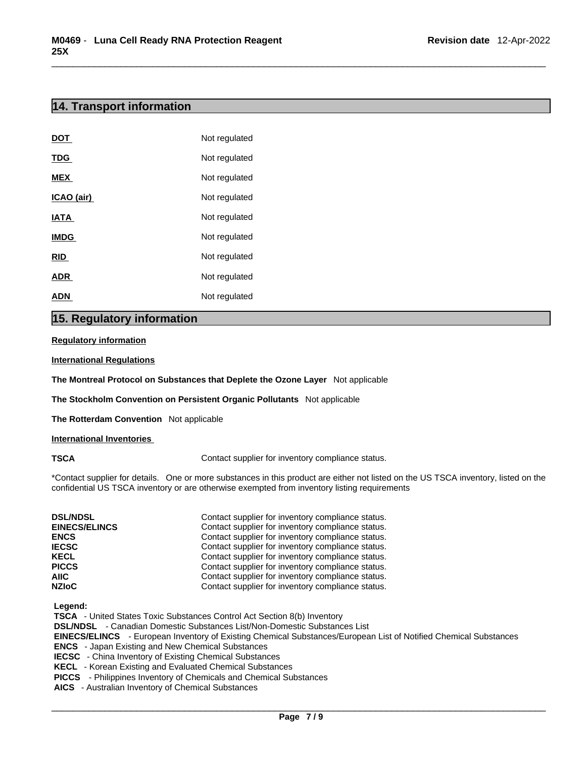## **14. Transport information**

| <b>DOT</b>  | Not regulated |
|-------------|---------------|
| <b>TDG</b>  | Not regulated |
| <b>MEX</b>  | Not regulated |
| ICAO (air)  | Not regulated |
| <b>IATA</b> | Not regulated |
| <b>IMDG</b> | Not regulated |
| <b>RID</b>  | Not regulated |
| <b>ADR</b>  | Not regulated |
| <b>ADN</b>  | Not regulated |

## **15. Regulatory information**

#### **Regulatory information**

#### **International Regulations**

**The Montreal Protocol on Substances that Deplete the Ozone Layer** Not applicable

**The Stockholm Convention on Persistent Organic Pollutants** Not applicable

**The Rotterdam Convention** Not applicable

#### **International Inventories**

**TSCA Contact supplier for inventory compliance status.** 

\*Contact supplier for details. One or more substances in this product are either not listed on the US TSCA inventory, listed on the confidential US TSCA inventory or are otherwise exempted from inventory listing requirements

| <b>DSL/NDSL</b><br><b>EINECS/ELINCS</b><br><b>ENCS</b> | Contact supplier for inventory compliance status.<br>Contact supplier for inventory compliance status.<br>Contact supplier for inventory compliance status. |
|--------------------------------------------------------|-------------------------------------------------------------------------------------------------------------------------------------------------------------|
| <b>IECSC</b>                                           | Contact supplier for inventory compliance status.                                                                                                           |
| <b>KECL</b>                                            | Contact supplier for inventory compliance status.                                                                                                           |
| <b>PICCS</b>                                           | Contact supplier for inventory compliance status.                                                                                                           |
| AIIC                                                   | Contact supplier for inventory compliance status.                                                                                                           |
| <b>NZIoC</b>                                           | Contact supplier for inventory compliance status.                                                                                                           |

 **Legend:** 

 **TSCA** - United States Toxic Substances Control Act Section 8(b) Inventory

 **DSL/NDSL** - Canadian Domestic Substances List/Non-Domestic Substances List

 **EINECS/ELINCS** - European Inventory of Existing Chemical Substances/European List of Notified Chemical Substances  **ENCS** - Japan Existing and New Chemical Substances

 **IECSC** - China Inventory of Existing Chemical Substances

 **KECL** - Korean Existing and Evaluated Chemical Substances

 **PICCS** - Philippines Inventory of Chemicals and Chemical Substances

 **AICS** - Australian Inventory of Chemical Substances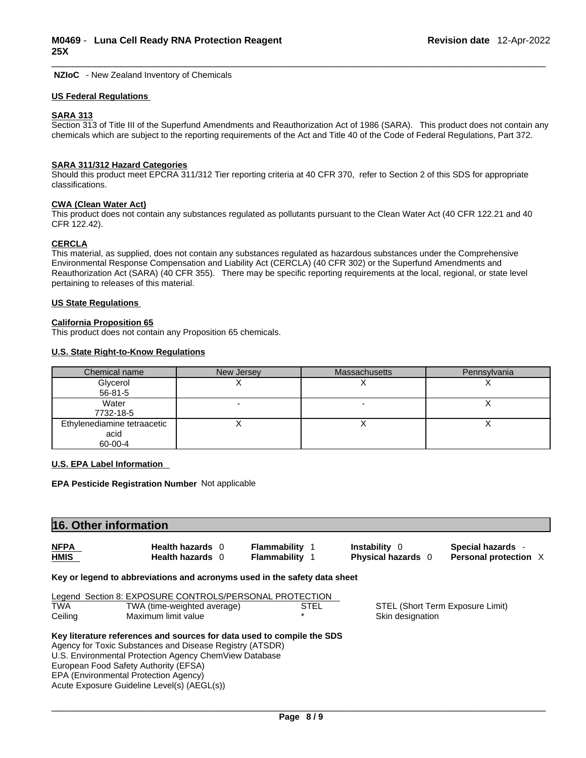**NZIoC** - New Zealand Inventory of Chemicals

#### **US Federal Regulations**

#### **SARA 313**

Section 313 of Title III of the Superfund Amendments and Reauthorization Act of 1986 (SARA). This product does not contain any chemicals which are subject to the reporting requirements of the Act and Title 40 of the Code of Federal Regulations, Part 372.

#### **SARA 311/312 Hazard Categories**

Should this product meet EPCRA 311/312 Tier reporting criteria at 40 CFR 370, refer to Section 2 of this SDS for appropriate classifications.

#### **CWA (Clean WaterAct)**

This product does not contain any substances regulated as pollutants pursuant to the Clean Water Act (40 CFR 122.21 and 40 CFR 122.42).

#### **CERCLA**

This material, as supplied, does not contain any substances regulated as hazardous substances under the Comprehensive Environmental Response Compensation and Liability Act (CERCLA) (40 CFR 302) or the Superfund Amendments and Reauthorization Act (SARA) (40 CFR 355). There may be specific reporting requirements at the local, regional, or state level pertaining to releases of this material.

#### **US State Regulations**

#### **California Proposition 65**

This product does not contain any Proposition 65 chemicals.

#### **U.S. State Right-to-Know Regulations**

| Chemical name               | New Jersey | <b>Massachusetts</b> | Pennsylvania |
|-----------------------------|------------|----------------------|--------------|
| Glycerol                    |            |                      |              |
| $56 - 81 - 5$               |            |                      |              |
| Water                       |            |                      |              |
| 7732-18-5                   |            |                      |              |
| Ethylenediamine tetraacetic |            |                      |              |
| acid                        |            |                      |              |
| 60-00-4                     |            |                      |              |

#### **U.S. EPA Label Information**

**EPA Pesticide Registration Number** Not applicable

| 16. Other information      |                                                                                                                                    |                                                |                                            |                                            |
|----------------------------|------------------------------------------------------------------------------------------------------------------------------------|------------------------------------------------|--------------------------------------------|--------------------------------------------|
| <b>NFPA</b><br><b>HMIS</b> | Health hazards 0<br>Health hazards 0                                                                                               | <b>Flammability</b> 1<br><b>Flammability 1</b> | <b>Instability</b> 0<br>Physical hazards 0 | Special hazards -<br>Personal protection X |
|                            | Key or legend to abbreviations and acronyms used in the safety data sheet                                                          |                                                |                                            |                                            |
|                            | Legend Section 8: EXPOSURE CONTROLS/PERSONAL PROTECTION                                                                            |                                                |                                            |                                            |
| <b>TWA</b>                 | TWA (time-weighted average)                                                                                                        | <b>STEL</b>                                    | STEL (Short Term Exposure Limit)           |                                            |
| Ceiling                    | Maximum limit value                                                                                                                |                                                | Skin designation                           |                                            |
|                            | Key literature references and sources for data used to compile the SDS<br>Agency for Toxic Substances and Disease Registry (ATSDR) |                                                |                                            |                                            |
|                            | U.S. Environmental Protection Agency ChemView Database                                                                             |                                                |                                            |                                            |
|                            | European Food Safety Authority (EFSA)                                                                                              |                                                |                                            |                                            |
|                            | EPA (Environmental Protection Agency)                                                                                              |                                                |                                            |                                            |
|                            | Acute Exposure Guideline Level(s) (AEGL(s))                                                                                        |                                                |                                            |                                            |